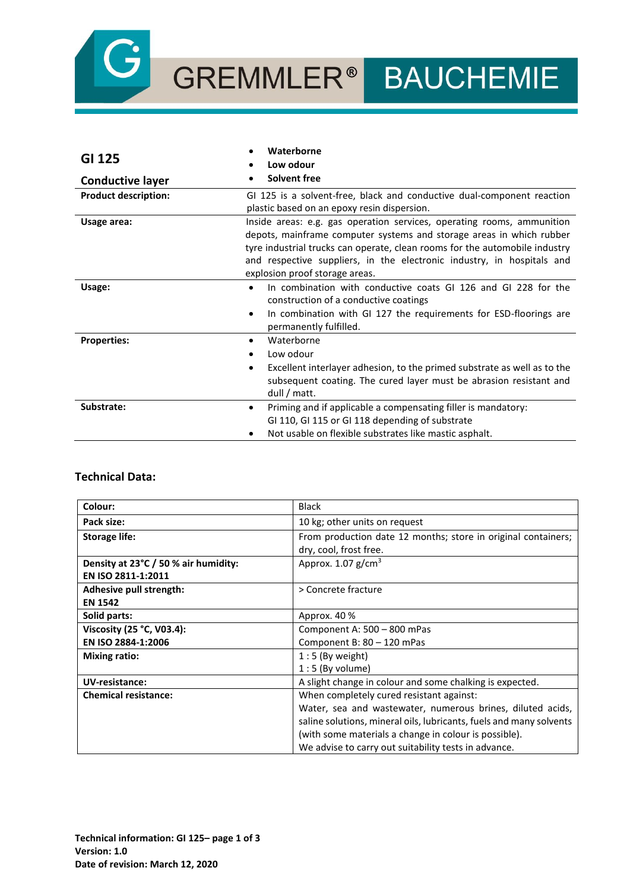

| GI 125                      | Waterborne<br>Low odour                                                                                                                                                                                                                                                                                                                   |
|-----------------------------|-------------------------------------------------------------------------------------------------------------------------------------------------------------------------------------------------------------------------------------------------------------------------------------------------------------------------------------------|
| <b>Conductive layer</b>     | <b>Solvent free</b>                                                                                                                                                                                                                                                                                                                       |
| <b>Product description:</b> | GI 125 is a solvent-free, black and conductive dual-component reaction<br>plastic based on an epoxy resin dispersion.                                                                                                                                                                                                                     |
| Usage area:                 | Inside areas: e.g. gas operation services, operating rooms, ammunition<br>depots, mainframe computer systems and storage areas in which rubber<br>tyre industrial trucks can operate, clean rooms for the automobile industry<br>and respective suppliers, in the electronic industry, in hospitals and<br>explosion proof storage areas. |
| Usage:                      | In combination with conductive coats GI 126 and GI 228 for the<br>$\bullet$<br>construction of a conductive coatings<br>In combination with GI 127 the requirements for ESD-floorings are<br>٠<br>permanently fulfilled.                                                                                                                  |
| <b>Properties:</b>          | Waterborne<br>Low odour<br>Excellent interlayer adhesion, to the primed substrate as well as to the<br>$\bullet$<br>subsequent coating. The cured layer must be abrasion resistant and<br>dull / matt.                                                                                                                                    |
| Substrate:                  | Priming and if applicable a compensating filler is mandatory:<br>$\bullet$<br>GI 110, GI 115 or GI 118 depending of substrate<br>Not usable on flexible substrates like mastic asphalt.                                                                                                                                                   |

## **Technical Data:**

| Colour:                              | <b>Black</b>                                                        |
|--------------------------------------|---------------------------------------------------------------------|
| Pack size:                           | 10 kg; other units on request                                       |
| <b>Storage life:</b>                 | From production date 12 months; store in original containers;       |
|                                      | dry, cool, frost free.                                              |
| Density at 23°C / 50 % air humidity: | Approx. $1.07$ g/cm <sup>3</sup>                                    |
| EN ISO 2811-1:2011                   |                                                                     |
| Adhesive pull strength:              | > Concrete fracture                                                 |
| <b>EN 1542</b>                       |                                                                     |
| Solid parts:                         | Approx. 40 %                                                        |
| Viscosity (25 °C, V03.4):            | Component A: 500 - 800 mPas                                         |
| EN ISO 2884-1:2006                   | Component B: 80 - 120 mPas                                          |
| <b>Mixing ratio:</b>                 | $1:5$ (By weight)                                                   |
|                                      | $1:5$ (By volume)                                                   |
| UV-resistance:                       | A slight change in colour and some chalking is expected.            |
| <b>Chemical resistance:</b>          | When completely cured resistant against:                            |
|                                      | Water, sea and wastewater, numerous brines, diluted acids,          |
|                                      | saline solutions, mineral oils, lubricants, fuels and many solvents |
|                                      | (with some materials a change in colour is possible).               |
|                                      | We advise to carry out suitability tests in advance.                |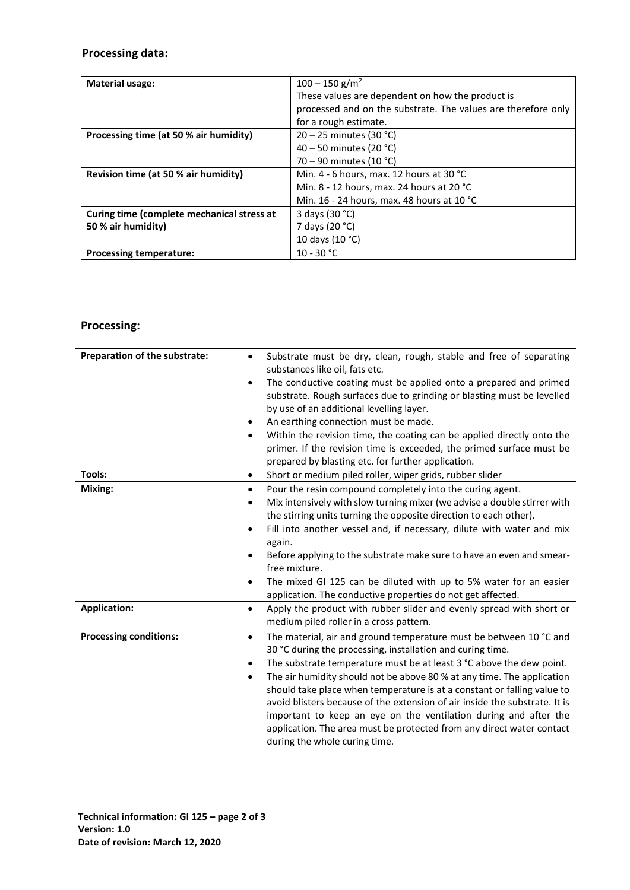# **Processing data:**

| <b>Material usage:</b>                     | $100 - 150$ g/m <sup>2</sup>                                  |
|--------------------------------------------|---------------------------------------------------------------|
|                                            | These values are dependent on how the product is              |
|                                            | processed and on the substrate. The values are therefore only |
|                                            | for a rough estimate.                                         |
| Processing time (at 50 % air humidity)     | $20 - 25$ minutes (30 °C)                                     |
|                                            | 40 – 50 minutes (20 °C)                                       |
|                                            | 70 – 90 minutes (10 °C)                                       |
| Revision time (at 50 % air humidity)       | Min. 4 - 6 hours, max. 12 hours at 30 °C                      |
|                                            | Min. 8 - 12 hours, max. 24 hours at 20 $^{\circ}$ C           |
|                                            | Min. 16 - 24 hours, max. 48 hours at 10 °C                    |
| Curing time (complete mechanical stress at | 3 days (30 °C)                                                |
| 50 % air humidity)                         | 7 days (20 °C)                                                |
|                                            | 10 days (10 °C)                                               |
| <b>Processing temperature:</b>             | $10 - 30 °C$                                                  |

# **Processing:**

| Preparation of the substrate: | Substrate must be dry, clean, rough, stable and free of separating<br>$\bullet$<br>substances like oil, fats etc.<br>The conductive coating must be applied onto a prepared and primed<br>$\bullet$<br>substrate. Rough surfaces due to grinding or blasting must be levelled<br>by use of an additional levelling layer.<br>An earthing connection must be made.<br>٠<br>Within the revision time, the coating can be applied directly onto the<br>٠<br>primer. If the revision time is exceeded, the primed surface must be                                                                                                                            |
|-------------------------------|----------------------------------------------------------------------------------------------------------------------------------------------------------------------------------------------------------------------------------------------------------------------------------------------------------------------------------------------------------------------------------------------------------------------------------------------------------------------------------------------------------------------------------------------------------------------------------------------------------------------------------------------------------|
|                               | prepared by blasting etc. for further application.                                                                                                                                                                                                                                                                                                                                                                                                                                                                                                                                                                                                       |
| Tools:                        | Short or medium piled roller, wiper grids, rubber slider<br>٠                                                                                                                                                                                                                                                                                                                                                                                                                                                                                                                                                                                            |
| Mixing:                       | Pour the resin compound completely into the curing agent.<br>$\bullet$<br>Mix intensively with slow turning mixer (we advise a double stirrer with<br>$\bullet$<br>the stirring units turning the opposite direction to each other).<br>Fill into another vessel and, if necessary, dilute with water and mix<br>$\bullet$<br>again.<br>Before applying to the substrate make sure to have an even and smear-<br>free mixture.<br>The mixed GI 125 can be diluted with up to 5% water for an easier<br>application. The conductive properties do not get affected.                                                                                       |
| <b>Application:</b>           | Apply the product with rubber slider and evenly spread with short or<br>$\bullet$<br>medium piled roller in a cross pattern.                                                                                                                                                                                                                                                                                                                                                                                                                                                                                                                             |
| <b>Processing conditions:</b> | The material, air and ground temperature must be between 10 °C and<br>٠<br>30 °C during the processing, installation and curing time.<br>The substrate temperature must be at least 3 °C above the dew point.<br>$\bullet$<br>The air humidity should not be above 80 % at any time. The application<br>$\bullet$<br>should take place when temperature is at a constant or falling value to<br>avoid blisters because of the extension of air inside the substrate. It is<br>important to keep an eye on the ventilation during and after the<br>application. The area must be protected from any direct water contact<br>during the whole curing time. |